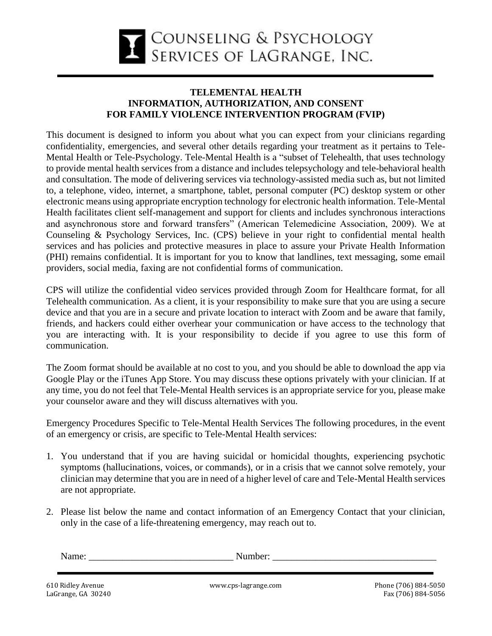

## **TELEMENTAL HEALTH INFORMATION, AUTHORIZATION, AND CONSENT FOR FAMILY VIOLENCE INTERVENTION PROGRAM (FVIP)**

This document is designed to inform you about what you can expect from your clinicians regarding confidentiality, emergencies, and several other details regarding your treatment as it pertains to Tele-Mental Health or Tele-Psychology. Tele-Mental Health is a "subset of Telehealth, that uses technology to provide mental health services from a distance and includes telepsychology and tele-behavioral health and consultation. The mode of delivering services via technology-assisted media such as, but not limited to, a telephone, video, internet, a smartphone, tablet, personal computer (PC) desktop system or other electronic means using appropriate encryption technology for electronic health information. Tele-Mental Health facilitates client self-management and support for clients and includes synchronous interactions and asynchronous store and forward transfers" (American Telemedicine Association, 2009). We at Counseling & Psychology Services, Inc. (CPS) believe in your right to confidential mental health services and has policies and protective measures in place to assure your Private Health Information (PHI) remains confidential. It is important for you to know that landlines, text messaging, some email providers, social media, faxing are not confidential forms of communication.

CPS will utilize the confidential video services provided through Zoom for Healthcare format, for all Telehealth communication. As a client, it is your responsibility to make sure that you are using a secure device and that you are in a secure and private location to interact with Zoom and be aware that family, friends, and hackers could either overhear your communication or have access to the technology that you are interacting with. It is your responsibility to decide if you agree to use this form of communication.

The Zoom format should be available at no cost to you, and you should be able to download the app via Google Play or the iTunes App Store. You may discuss these options privately with your clinician. If at any time, you do not feel that Tele-Mental Health services is an appropriate service for you, please make your counselor aware and they will discuss alternatives with you.

Emergency Procedures Specific to Tele-Mental Health Services The following procedures, in the event of an emergency or crisis, are specific to Tele-Mental Health services:

- 1. You understand that if you are having suicidal or homicidal thoughts, experiencing psychotic symptoms (hallucinations, voices, or commands), or in a crisis that we cannot solve remotely, your clinician may determine that you are in need of a higher level of care and Tele-Mental Health services are not appropriate.
- 2. Please list below the name and contact information of an Emergency Contact that your clinician, only in the case of a life-threatening emergency, may reach out to.